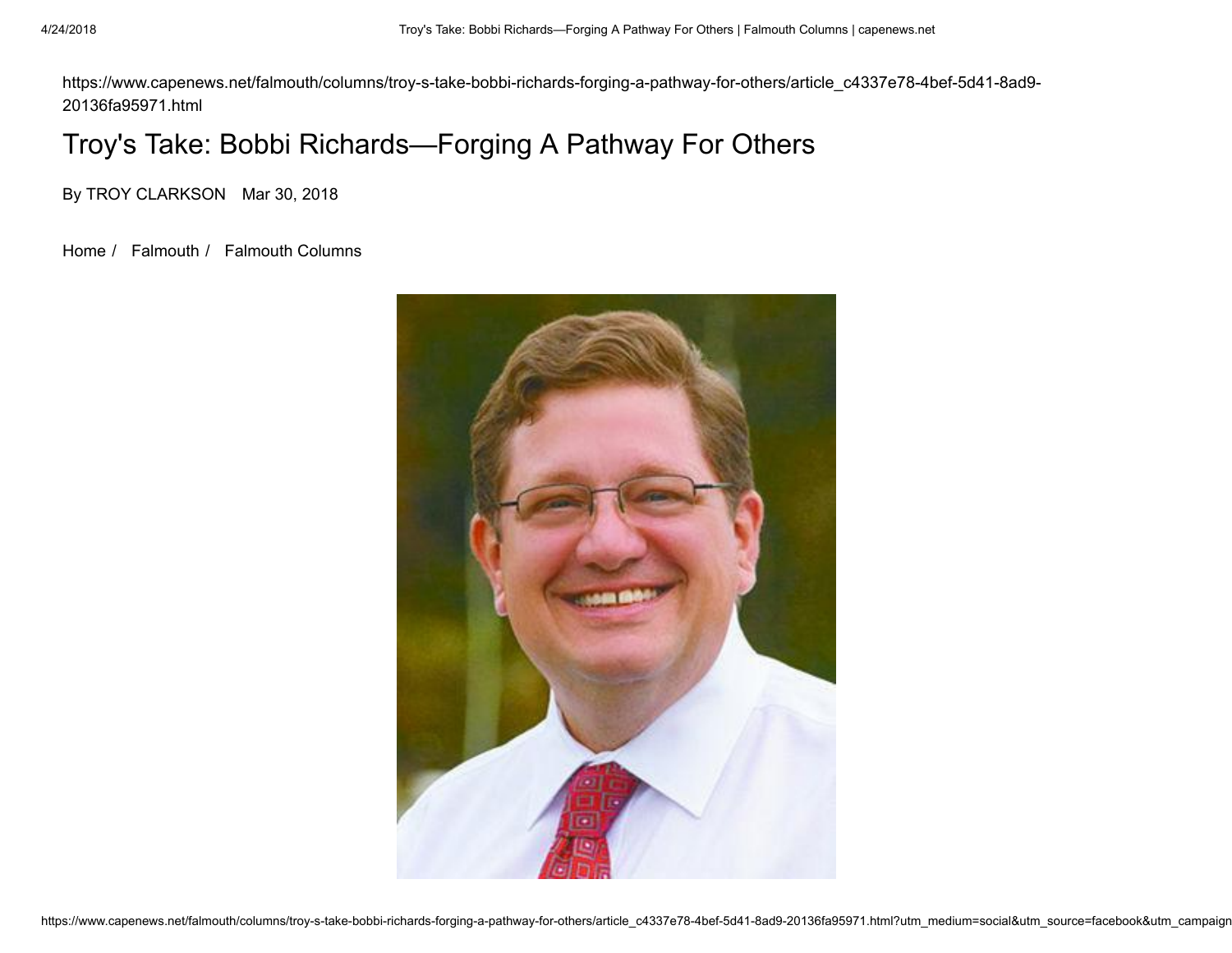https://www.capenews.net/falmouth/columns/troy-s-take-bobbi-richards-forging-a-pathway-for-others/article\_c4337e78-4bef-5d41-8ad9- 20136fa95971.html

## Troy's Take: Bobbi Richards—Forging A Pathway For Others

By TROY CLARKSON Mar 30, 2018

[Home](https://www.capenews.net/) / [Falmouth](https://www.capenews.net/falmouth/) / [Falmouth Columns](https://www.capenews.net/falmouth/columns/)

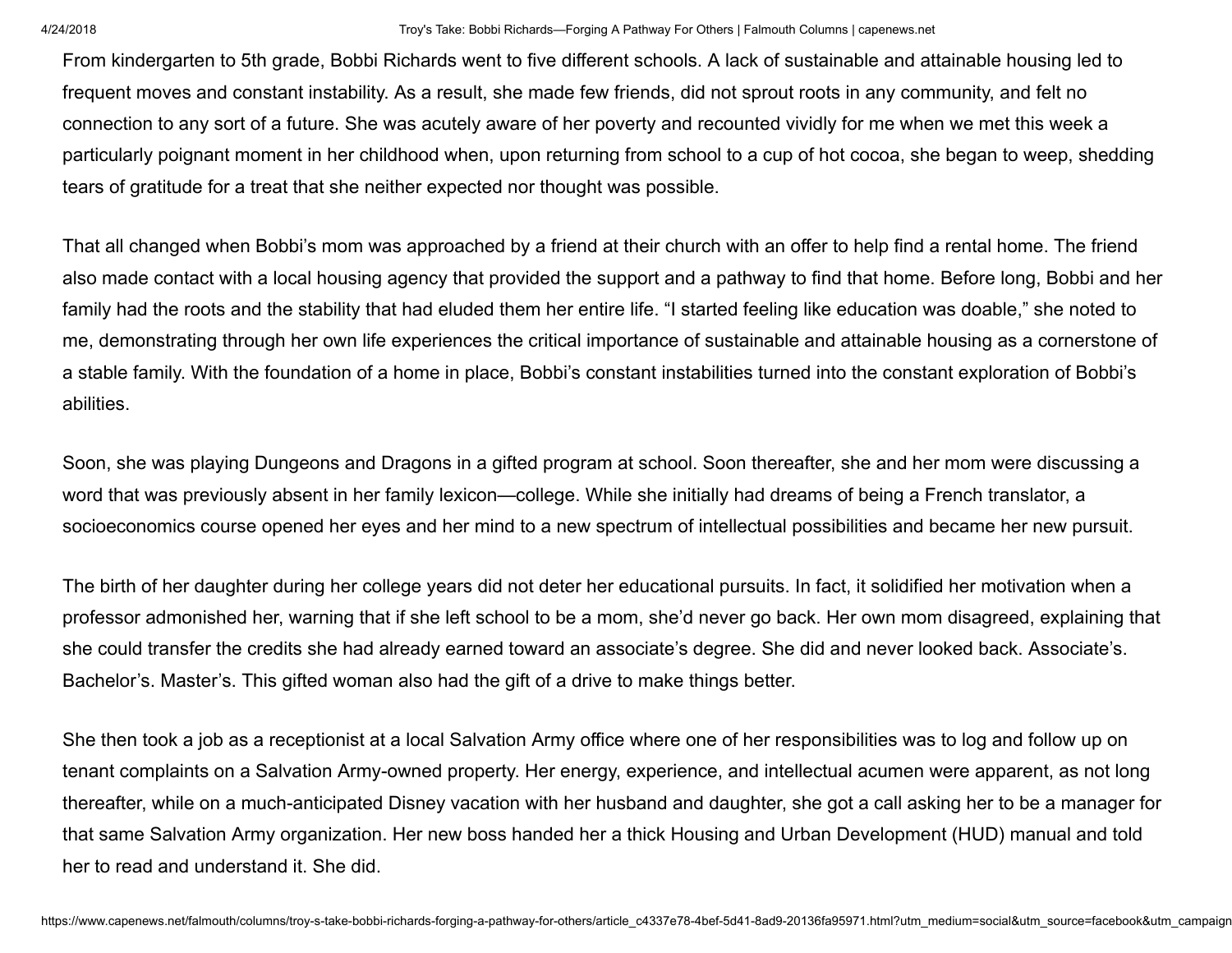From kindergarten to 5th grade, Bobbi Richards went to five different schools. A lack of sustainable and attainable housing led to frequent moves and constant instability. As a result, she made few friends, did not sprout roots in any community, and felt no connection to any sort of a future. She was acutely aware of her poverty and recounted vividly for me when we met this week a particularly poignant moment in her childhood when, upon returning from school to a cup of hot cocoa, she began to weep, shedding tears of gratitude for a treat that she neither expected nor thought was possible.

That all changed when Bobbi's mom was approached by a friend at their church with an offer to help find a rental home. The friend also made contact with a local housing agency that provided the support and a pathway to find that home. Before long, Bobbi and her family had the roots and the stability that had eluded them her entire life. "I started feeling like education was doable," she noted to me, demonstrating through her own life experiences the critical importance of sustainable and attainable housing as a cornerstone of a stable family. With the foundation of a home in place, Bobbi's constant instabilities turned into the constant exploration of Bobbi's abilities.

Soon, she was playing Dungeons and Dragons in a gifted program at school. Soon thereafter, she and her mom were discussing a word that was previously absent in her family lexicon—college. While she initially had dreams of being a French translator, a socioeconomics course opened her eyes and her mind to a new spectrum of intellectual possibilities and became her new pursuit.

The birth of her daughter during her college years did not deter her educational pursuits. In fact, it solidified her motivation when a professor admonished her, warning that if she left school to be a mom, she'd never go back. Her own mom disagreed, explaining that she could transfer the credits she had already earned toward an associate's degree. She did and never looked back. Associate's. Bachelor's. Master's. This gifted woman also had the gift of a drive to make things better.

She then took a job as a receptionist at a local Salvation Army office where one of her responsibilities was to log and follow up on tenant complaints on a Salvation Army-owned property. Her energy, experience, and intellectual acumen were apparent, as not long thereafter, while on a much-anticipated Disney vacation with her husband and daughter, she got a call asking her to be a manager for that same Salvation Army organization. Her new boss handed her a thick Housing and Urban Development (HUD) manual and told her to read and understand it. She did.